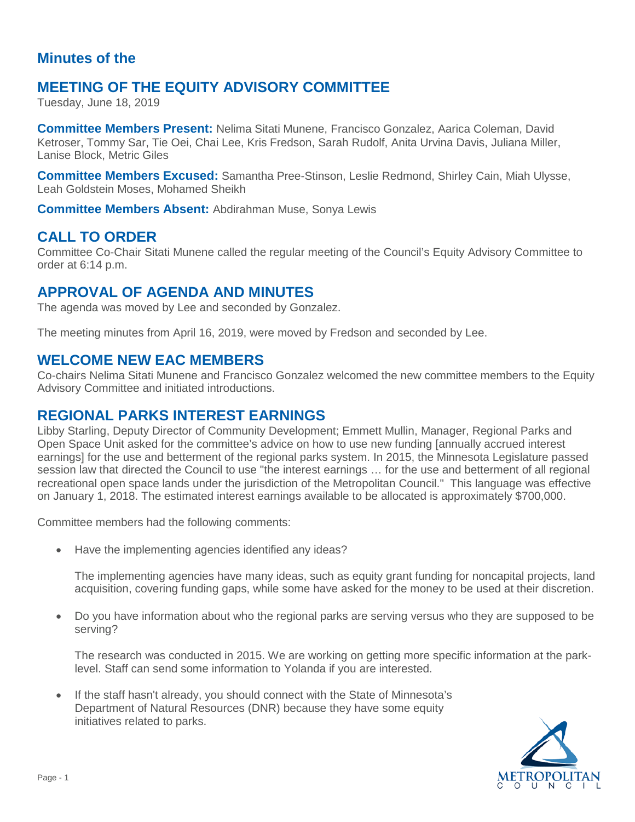#### **Minutes of the**

# **MEETING OF THE EQUITY ADVISORY COMMITTEE**

Tuesday, June 18, 2019

**Committee Members Present:** Nelima Sitati Munene, Francisco Gonzalez, Aarica Coleman, David Ketroser, Tommy Sar, Tie Oei, Chai Lee, Kris Fredson, Sarah Rudolf, Anita Urvina Davis, Juliana Miller, Lanise Block, Metric Giles

**Committee Members Excused:** Samantha Pree-Stinson, Leslie Redmond, Shirley Cain, Miah Ulysse, Leah Goldstein Moses, Mohamed Sheikh

**Committee Members Absent:** Abdirahman Muse, Sonya Lewis

#### **CALL TO ORDER**

Committee Co-Chair Sitati Munene called the regular meeting of the Council's Equity Advisory Committee to order at 6:14 p.m.

#### **APPROVAL OF AGENDA AND MINUTES**

The agenda was moved by Lee and seconded by Gonzalez.

The meeting minutes from April 16, 2019, were moved by Fredson and seconded by Lee.

#### **WELCOME NEW EAC MEMBERS**

Co-chairs Nelima Sitati Munene and Francisco Gonzalez welcomed the new committee members to the Equity Advisory Committee and initiated introductions.

#### **REGIONAL PARKS INTEREST EARNINGS**

Libby Starling, Deputy Director of Community Development; Emmett Mullin, Manager, Regional Parks and Open Space Unit asked for the committee's advice on how to use new funding [annually accrued interest earnings] for the use and betterment of the regional parks system. In 2015, the Minnesota Legislature passed session law that directed the Council to use "the interest earnings … for the use and betterment of all regional recreational open space lands under the jurisdiction of the Metropolitan Council." This language was effective on January 1, 2018. The estimated interest earnings available to be allocated is approximately \$700,000.

Committee members had the following comments:

• Have the implementing agencies identified any ideas?

The implementing agencies have many ideas, such as equity grant funding for noncapital projects, land acquisition, covering funding gaps, while some have asked for the money to be used at their discretion.

• Do you have information about who the regional parks are serving versus who they are supposed to be serving?

The research was conducted in 2015. We are working on getting more specific information at the parklevel. Staff can send some information to Yolanda if you are interested.

• If the staff hasn't already, you should connect with the State of Minnesota's Department of Natural Resources (DNR) because they have some equity initiatives related to parks.

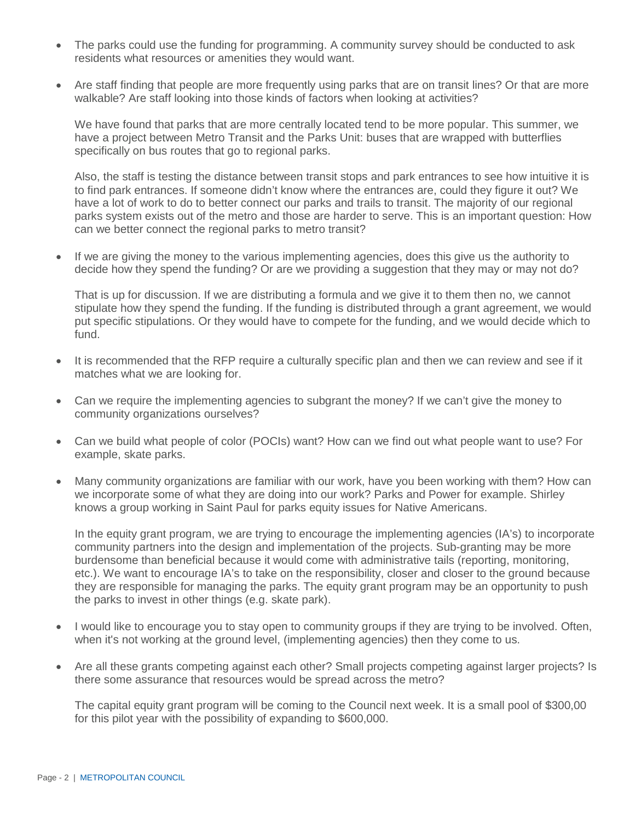- The parks could use the funding for programming. A community survey should be conducted to ask residents what resources or amenities they would want.
- Are staff finding that people are more frequently using parks that are on transit lines? Or that are more walkable? Are staff looking into those kinds of factors when looking at activities?

We have found that parks that are more centrally located tend to be more popular. This summer, we have a project between Metro Transit and the Parks Unit: buses that are wrapped with butterflies specifically on bus routes that go to regional parks.

Also, the staff is testing the distance between transit stops and park entrances to see how intuitive it is to find park entrances. If someone didn't know where the entrances are, could they figure it out? We have a lot of work to do to better connect our parks and trails to transit. The majority of our regional parks system exists out of the metro and those are harder to serve. This is an important question: How can we better connect the regional parks to metro transit?

If we are giving the money to the various implementing agencies, does this give us the authority to decide how they spend the funding? Or are we providing a suggestion that they may or may not do?

That is up for discussion. If we are distributing a formula and we give it to them then no, we cannot stipulate how they spend the funding. If the funding is distributed through a grant agreement, we would put specific stipulations. Or they would have to compete for the funding, and we would decide which to fund.

- It is recommended that the RFP require a culturally specific plan and then we can review and see if it matches what we are looking for.
- Can we require the implementing agencies to subgrant the money? If we can't give the money to community organizations ourselves?
- Can we build what people of color (POCIs) want? How can we find out what people want to use? For example, skate parks.
- Many community organizations are familiar with our work, have you been working with them? How can we incorporate some of what they are doing into our work? Parks and Power for example. Shirley knows a group working in Saint Paul for parks equity issues for Native Americans.

In the equity grant program, we are trying to encourage the implementing agencies (IA's) to incorporate community partners into the design and implementation of the projects. Sub-granting may be more burdensome than beneficial because it would come with administrative tails (reporting, monitoring, etc.). We want to encourage IA's to take on the responsibility, closer and closer to the ground because they are responsible for managing the parks. The equity grant program may be an opportunity to push the parks to invest in other things (e.g. skate park).

- I would like to encourage you to stay open to community groups if they are trying to be involved. Often, when it's not working at the ground level, (implementing agencies) then they come to us.
- Are all these grants competing against each other? Small projects competing against larger projects? Is there some assurance that resources would be spread across the metro?

The capital equity grant program will be coming to the Council next week. It is a small pool of \$300,00 for this pilot year with the possibility of expanding to \$600,000.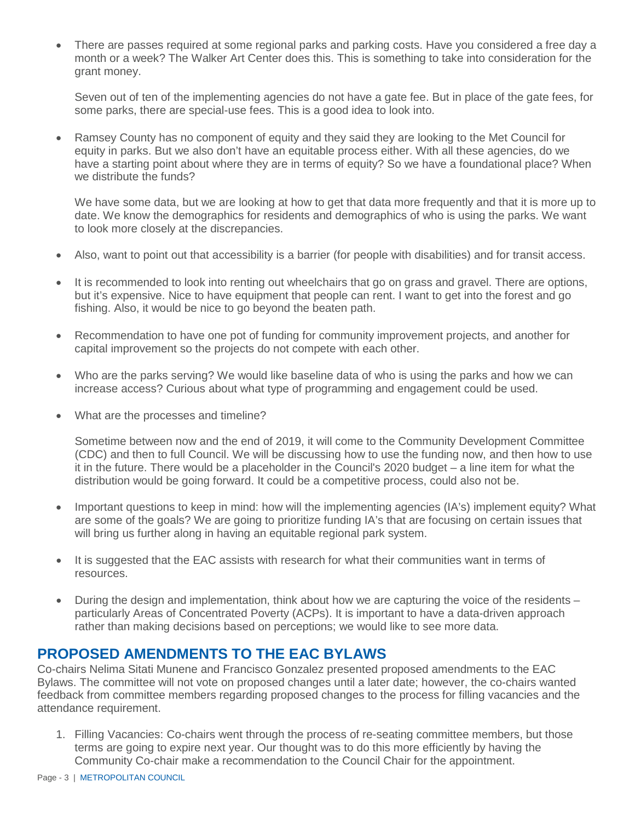• There are passes required at some regional parks and parking costs. Have you considered a free day a month or a week? The Walker Art Center does this. This is something to take into consideration for the grant money.

Seven out of ten of the implementing agencies do not have a gate fee. But in place of the gate fees, for some parks, there are special-use fees. This is a good idea to look into.

• Ramsey County has no component of equity and they said they are looking to the Met Council for equity in parks. But we also don't have an equitable process either. With all these agencies, do we have a starting point about where they are in terms of equity? So we have a foundational place? When we distribute the funds?

We have some data, but we are looking at how to get that data more frequently and that it is more up to date. We know the demographics for residents and demographics of who is using the parks. We want to look more closely at the discrepancies.

- Also, want to point out that accessibility is a barrier (for people with disabilities) and for transit access.
- It is recommended to look into renting out wheelchairs that go on grass and gravel. There are options, but it's expensive. Nice to have equipment that people can rent. I want to get into the forest and go fishing. Also, it would be nice to go beyond the beaten path.
- Recommendation to have one pot of funding for community improvement projects, and another for capital improvement so the projects do not compete with each other.
- Who are the parks serving? We would like baseline data of who is using the parks and how we can increase access? Curious about what type of programming and engagement could be used.
- What are the processes and timeline?

Sometime between now and the end of 2019, it will come to the Community Development Committee (CDC) and then to full Council. We will be discussing how to use the funding now, and then how to use it in the future. There would be a placeholder in the Council's 2020 budget – a line item for what the distribution would be going forward. It could be a competitive process, could also not be.

- Important questions to keep in mind: how will the implementing agencies (IA's) implement equity? What are some of the goals? We are going to prioritize funding IA's that are focusing on certain issues that will bring us further along in having an equitable regional park system.
- It is suggested that the EAC assists with research for what their communities want in terms of resources.
- During the design and implementation, think about how we are capturing the voice of the residents particularly Areas of Concentrated Poverty (ACPs). It is important to have a data-driven approach rather than making decisions based on perceptions; we would like to see more data.

## **PROPOSED AMENDMENTS TO THE EAC BYLAWS**

Co-chairs Nelima Sitati Munene and Francisco Gonzalez presented proposed amendments to the EAC Bylaws. The committee will not vote on proposed changes until a later date; however, the co-chairs wanted feedback from committee members regarding proposed changes to the process for filling vacancies and the attendance requirement.

1. Filling Vacancies: Co-chairs went through the process of re-seating committee members, but those terms are going to expire next year. Our thought was to do this more efficiently by having the Community Co-chair make a recommendation to the Council Chair for the appointment.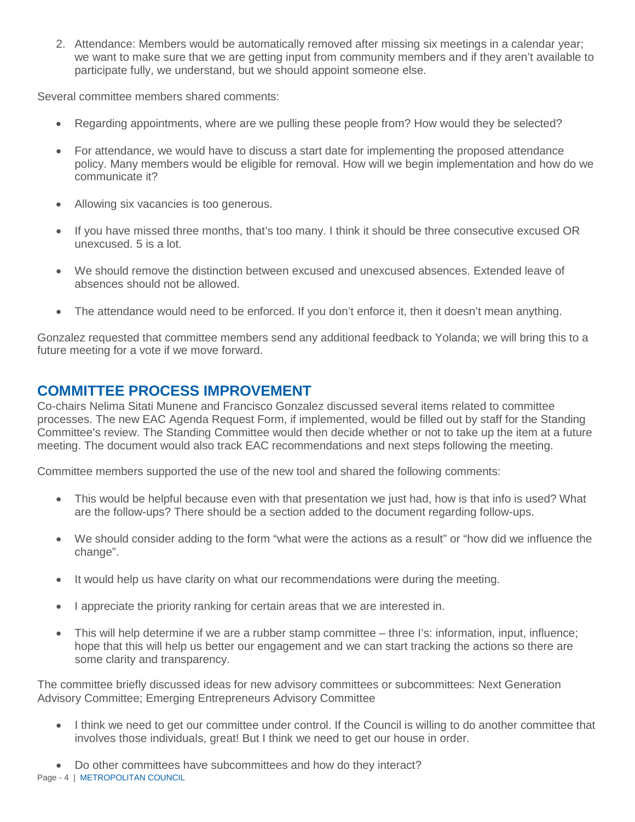2. Attendance: Members would be automatically removed after missing six meetings in a calendar year; we want to make sure that we are getting input from community members and if they aren't available to participate fully, we understand, but we should appoint someone else.

Several committee members shared comments:

- Regarding appointments, where are we pulling these people from? How would they be selected?
- For attendance, we would have to discuss a start date for implementing the proposed attendance policy. Many members would be eligible for removal. How will we begin implementation and how do we communicate it?
- Allowing six vacancies is too generous.
- If you have missed three months, that's too many. I think it should be three consecutive excused OR unexcused. 5 is a lot.
- We should remove the distinction between excused and unexcused absences. Extended leave of absences should not be allowed.
- The attendance would need to be enforced. If you don't enforce it, then it doesn't mean anything.

Gonzalez requested that committee members send any additional feedback to Yolanda; we will bring this to a future meeting for a vote if we move forward.

# **COMMITTEE PROCESS IMPROVEMENT**

Co-chairs Nelima Sitati Munene and Francisco Gonzalez discussed several items related to committee processes. The new EAC Agenda Request Form, if implemented, would be filled out by staff for the Standing Committee's review. The Standing Committee would then decide whether or not to take up the item at a future meeting. The document would also track EAC recommendations and next steps following the meeting.

Committee members supported the use of the new tool and shared the following comments:

- This would be helpful because even with that presentation we just had, how is that info is used? What are the follow-ups? There should be a section added to the document regarding follow-ups.
- We should consider adding to the form "what were the actions as a result" or "how did we influence the change".
- It would help us have clarity on what our recommendations were during the meeting.
- I appreciate the priority ranking for certain areas that we are interested in.
- This will help determine if we are a rubber stamp committee three I's: information, input, influence; hope that this will help us better our engagement and we can start tracking the actions so there are some clarity and transparency.

The committee briefly discussed ideas for new advisory committees or subcommittees: Next Generation Advisory Committee; Emerging Entrepreneurs Advisory Committee

• I think we need to get our committee under control. If the Council is willing to do another committee that involves those individuals, great! But I think we need to get our house in order.

• Do other committees have subcommittees and how do they interact?

Page - 4 | METROPOLITAN COUNCIL